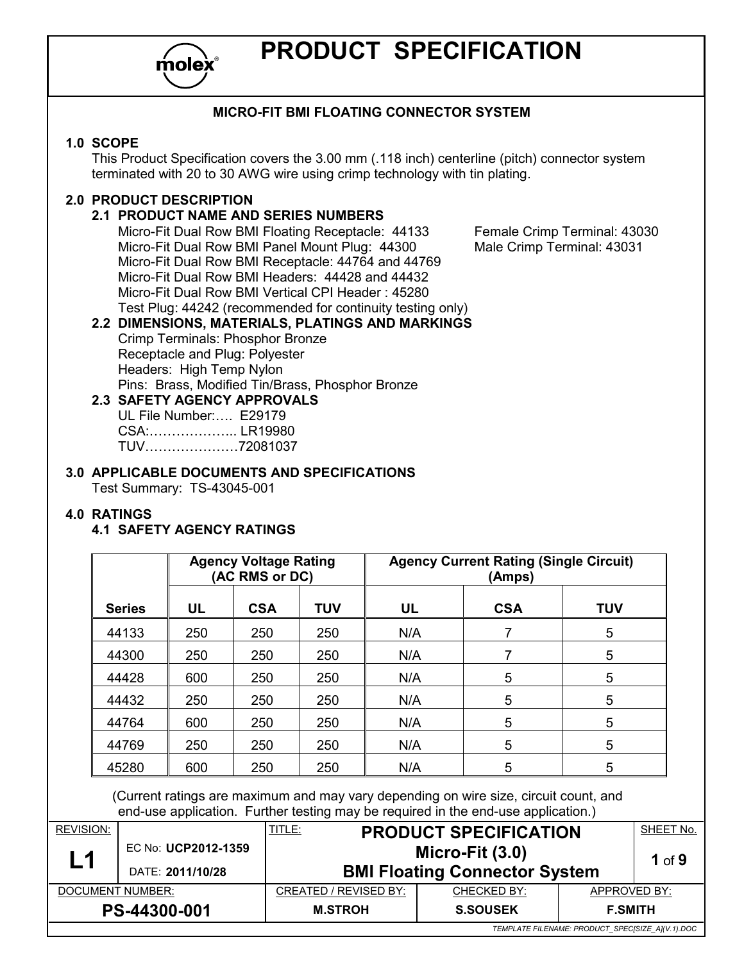

# **PRODUCT SPECIFICATION**

## **MICRO-FIT BMI FLOATING CONNECTOR SYSTEM**

#### **1.0 SCOPE**

This Product Specification covers the 3.00 mm (.118 inch) centerline (pitch) connector system terminated with 20 to 30 AWG wire using crimp technology with tin plating.

## **2.0 PRODUCT DESCRIPTION**

### **2.1 PRODUCT NAME AND SERIES NUMBERS**

Micro-Fit Dual Row BMI Floating Receptacle: 44133 Female Crimp Terminal: 43030<br>Micro-Fit Dual Row BMI Panel Mount Plug: 44300 Male Crimp Terminal: 43031 Micro-Fit Dual Row BMI Panel Mount Plug: 44300 Micro-Fit Dual Row BMI Receptacle: 44764 and 44769 Micro-Fit Dual Row BMI Headers: 44428 and 44432 Micro-Fit Dual Row BMI Vertical CPI Header : 45280 Test Plug: 44242 (recommended for continuity testing only)

## **2.2 DIMENSIONS, MATERIALS, PLATINGS AND MARKINGS**

Crimp Terminals: Phosphor Bronze Receptacle and Plug: Polyester Headers: High Temp Nylon Pins: Brass, Modified Tin/Brass, Phosphor Bronze

**2.3 SAFETY AGENCY APPROVALS**  UL File Number:.... E29179 CSA:..................... LR19980 TUV???????72081037

#### **3.0 APPLICABLE DOCUMENTS AND SPECIFICATIONS**  Test Summary: TS-43045-001

#### **4.0 RATINGS**

#### **4.1 SAFETY AGENCY RATINGS**

|               |     | <b>Agency Voltage Rating</b><br>(AC RMS or DC) |            | <b>Agency Current Rating (Single Circuit)</b><br>(Amps) |                 |            |
|---------------|-----|------------------------------------------------|------------|---------------------------------------------------------|-----------------|------------|
| <b>Series</b> | UL  | <b>CSA</b>                                     | <b>TUV</b> | <b>UL</b>                                               | <b>CSA</b>      | <b>TUV</b> |
| 44133         | 250 | 250                                            | 250        | N/A                                                     |                 | 5          |
| 44300         | 250 | 250                                            | 250        | N/A                                                     |                 | 5          |
| 44428         | 600 | 250                                            | 250        | N/A                                                     | 5               | 5          |
| 44432         | 250 | 250                                            | 250        | N/A                                                     | $5\phantom{.0}$ | 5          |
| 44764         | 600 | 250                                            | 250        | N/A                                                     | 5               | 5          |
| 44769         | 250 | 250                                            | 250        | N/A                                                     | 5               | 5          |
| 45280         | 600 | 250                                            | 250        | N/A                                                     | 5               | 5          |

 (Current ratings are maximum and may vary depending on wire size, circuit count, and end-use application. Further testing may be required in the end-use application.)

| <b>REVISION:</b> |                     | <u>TITLE:</u>                        | <b>PRODUCT SPECIFICATION</b> |                                                  | SHEET No. |
|------------------|---------------------|--------------------------------------|------------------------------|--------------------------------------------------|-----------|
| L1               | EC No: UCP2012-1359 | Micro-Fit $(3.0)$                    |                              |                                                  | 1 of $9$  |
|                  | DATE: 2011/10/28    | <b>BMI Floating Connector System</b> |                              |                                                  |           |
| DOCUMENT NUMBER: |                     | CREATED / REVISED BY:                | CHECKED BY:                  | APPROVED BY:                                     |           |
|                  | PS-44300-001        | <b>M.STROH</b>                       | <b>S.SOUSEK</b>              | <b>F.SMITH</b>                                   |           |
|                  |                     |                                      |                              | TEMPLATE FILENAME: PRODUCT_SPEC[SIZE_A](V.1).DOC |           |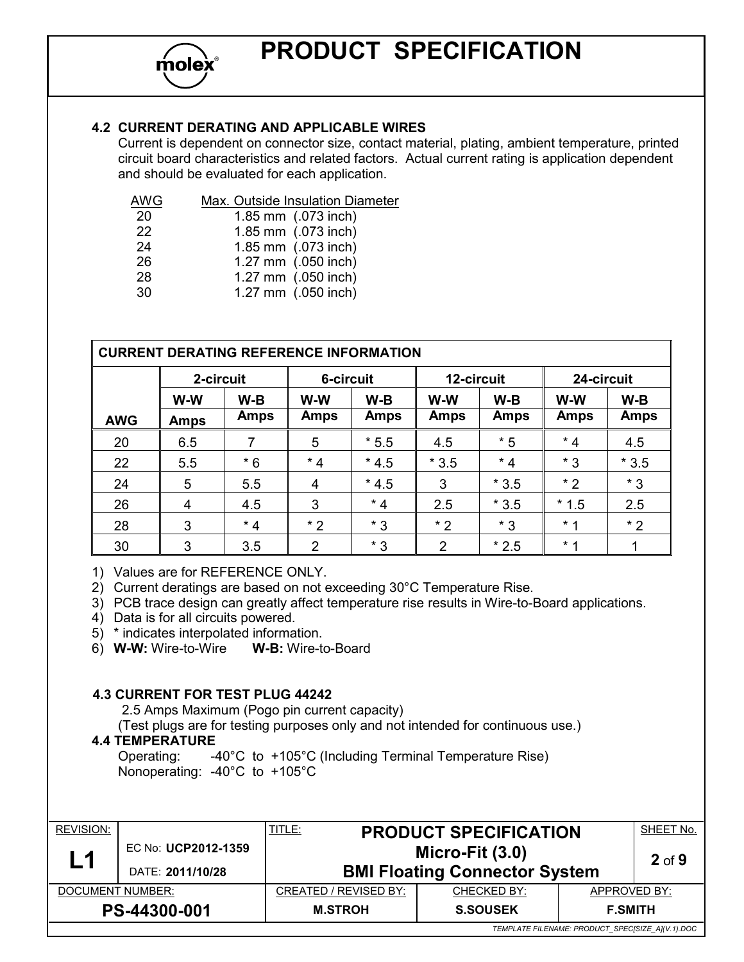# **PRODUCT SPECIFICATION**

## **4.2 CURRENT DERATING AND APPLICABLE WIRES**

Current is dependent on connector size, contact material, plating, ambient temperature, printed circuit board characteristics and related factors. Actual current rating is application dependent and should be evaluated for each application.

| AWG | Max. Outside Insulation Diameter |
|-----|----------------------------------|
| 20  | 1.85 mm (.073 inch)              |
| 22  | 1.85 mm (.073 inch)              |
| 24  | 1.85 mm (.073 inch)              |
| 26  | 1.27 mm (.050 inch)              |
| 28  | 1.27 mm (.050 inch)              |
| 30  | 1.27 mm (.050 inch)              |

| <b>CURRENT DERATING REFERENCE INFORMATION</b> |             |             |             |             |             |             |             |             |
|-----------------------------------------------|-------------|-------------|-------------|-------------|-------------|-------------|-------------|-------------|
|                                               | 2-circuit   |             | 6-circuit   |             | 12-circuit  |             | 24-circuit  |             |
|                                               | W-W         | $W-B$       | W-W         | $W-B$       | W-W         | $W-B$       | W-W         | $W-B$       |
| <b>AWG</b>                                    | <b>Amps</b> | <b>Amps</b> | <b>Amps</b> | <b>Amps</b> | <b>Amps</b> | <b>Amps</b> | <b>Amps</b> | <b>Amps</b> |
| 20                                            | 6.5         | 7           | 5           | $*5.5$      | 4.5         | $*5$        | $*4$        | 4.5         |
| 22                                            | 5.5         | $*6$        | $*4$        | $*4.5$      | $*3.5$      | $*4$        | $*3$        | $*3.5$      |
| 24                                            | 5           | 5.5         | 4           | $*4.5$      | 3           | $*3.5$      | $*2$        | $*3$        |
| 26                                            | 4           | 4.5         | 3           | $*4$        | 2.5         | $*3.5$      | $*1.5$      | 2.5         |
| 28                                            | 3           | $*4$        | $*2$        | $*3$        | $*2$        | $*3$        | $*1$        | $*2$        |
| 30                                            | 3           | 3.5         | 2           | $*3$        | 2           | $*2.5$      | $*1$        |             |

1) Values are for REFERENCE ONLY.

2) Current deratings are based on not exceeding 30°C Temperature Rise.

3) PCB trace design can greatly affect temperature rise results in Wire-to-Board applications.

4) Data is for all circuits powered.

5) \* indicates interpolated information.

6) **W-W:** Wire-to-Wire **W-B:** Wire-to-Board

#### **4.3 CURRENT FOR TEST PLUG 44242**

2.5 Amps Maximum (Pogo pin current capacity)

(Test plugs are for testing purposes only and not intended for continuous use.)

### **4.4 TEMPERATURE**

Operating: -40°C to +105°C (Including Terminal Temperature Rise) Nonoperating: -40°C to +105°C

| <b>REVISION:</b><br>L1                           | EC No: UCP2012-1359 | <u>TITLE:</u>                        | <b>PRODUCT SPECIFICATION</b><br>Micro-Fit $(3.0)$ |              | SHEET No.<br>$2$ of $9$ |
|--------------------------------------------------|---------------------|--------------------------------------|---------------------------------------------------|--------------|-------------------------|
|                                                  | DATE: 2011/10/28    | <b>BMI Floating Connector System</b> |                                                   |              |                         |
| DOCUMENT NUMBER:                                 |                     | CREATED / REVISED BY:                | CHECKED BY:                                       | APPROVED BY: |                         |
| PS-44300-001                                     |                     | <b>M.STROH</b>                       | <b>S.SOUSEK</b><br><b>F.SMITH</b>                 |              |                         |
| TEMPLATE FILENAME: PRODUCT_SPEC[SIZE_A](V.1).DOC |                     |                                      |                                                   |              |                         |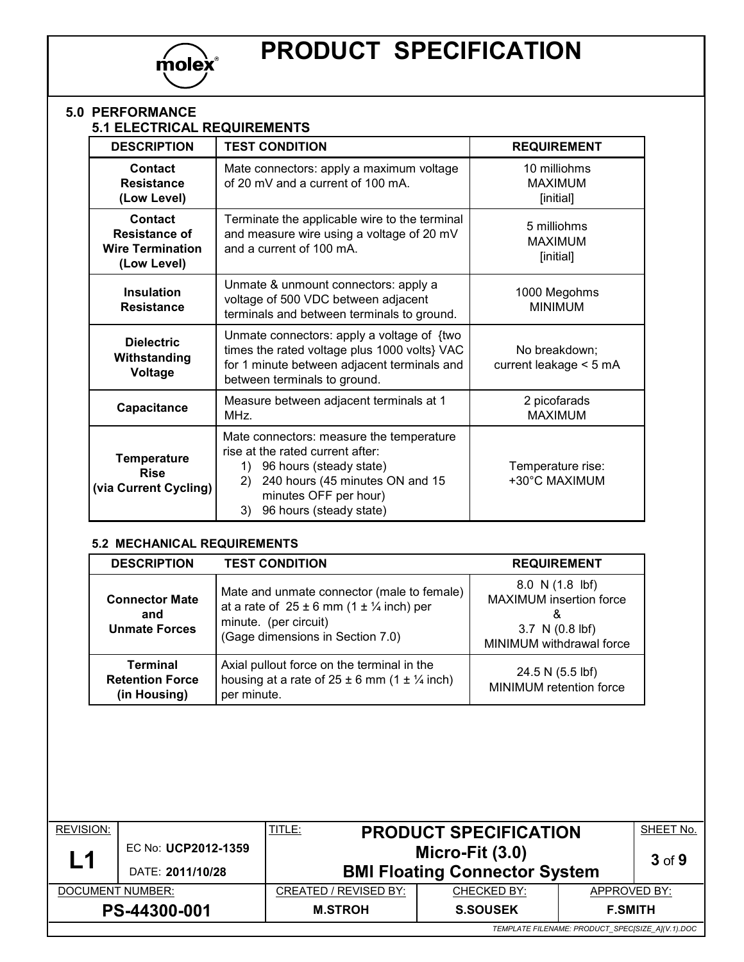

#### **5.0 PERFORMANCE 5.1 ELECTRICAL REQUIREMENTS**

| <b>DESCRIPTION</b>                                                 | <b>TEST CONDITION</b>                                                                                                                                                                                            | <b>REQUIREMENT</b>                          |
|--------------------------------------------------------------------|------------------------------------------------------------------------------------------------------------------------------------------------------------------------------------------------------------------|---------------------------------------------|
| <b>Contact</b><br><b>Resistance</b><br>(Low Level)                 | Mate connectors: apply a maximum voltage<br>of 20 mV and a current of 100 mA.                                                                                                                                    | 10 milliohms<br><b>MAXIMUM</b><br>[initial] |
| Contact<br>Resistance of<br><b>Wire Termination</b><br>(Low Level) | Terminate the applicable wire to the terminal<br>and measure wire using a voltage of 20 mV<br>and a current of 100 mA.                                                                                           | 5 milliohms<br><b>MAXIMUM</b><br>[initial]  |
| <b>Insulation</b><br><b>Resistance</b>                             | Unmate & unmount connectors: apply a<br>voltage of 500 VDC between adjacent<br>terminals and between terminals to ground.                                                                                        | 1000 Megohms<br><b>MINIMUM</b>              |
| <b>Dielectric</b><br>Withstanding<br>Voltage                       | Unmate connectors: apply a voltage of {two<br>times the rated voltage plus 1000 volts} VAC<br>for 1 minute between adjacent terminals and<br>between terminals to ground.                                        | No breakdown;<br>current leakage $<$ 5 mA   |
| Capacitance                                                        | Measure between adjacent terminals at 1<br>MHz.                                                                                                                                                                  | 2 picofarads<br><b>MAXIMUM</b>              |
| <b>Temperature</b><br><b>Rise</b><br>(via Current Cycling)         | Mate connectors: measure the temperature<br>rise at the rated current after:<br>96 hours (steady state)<br>1)<br>240 hours (45 minutes ON and 15<br>2)<br>minutes OFF per hour)<br>3)<br>96 hours (steady state) | Temperature rise:<br>+30°C MAXIMUM          |

# **5.2 MECHANICAL REQUIREMENTS**

| <b>DESCRIPTION</b>                                        | <b>TEST CONDITION</b>                                                                                                                                        | <b>REQUIREMENT</b>                                                                             |
|-----------------------------------------------------------|--------------------------------------------------------------------------------------------------------------------------------------------------------------|------------------------------------------------------------------------------------------------|
| <b>Connector Mate</b><br>and<br><b>Unmate Forces</b>      | Mate and unmate connector (male to female)<br>at a rate of $25 \pm 6$ mm (1 $\pm$ 1/4 inch) per<br>minute. (per circuit)<br>(Gage dimensions in Section 7.0) | 8.0 N(1.8 lbf)<br>MAXIMUM insertion force<br>X.<br>3.7 N (0.8 lbf)<br>MINIMUM withdrawal force |
| <b>Terminal</b><br><b>Retention Force</b><br>(in Housing) | Axial pullout force on the terminal in the<br>housing at a rate of $25 \pm 6$ mm (1 $\pm$ 1/4 inch)<br>per minute.                                           | 24.5 N (5.5 lbf)<br>MINIMUM retention force                                                    |

| <b>REVISION:</b>                                 |                     | <b>TITLE:</b>         | <b>PRODUCT SPECIFICATION</b>         |              | SHEET No.  |  |  |
|--------------------------------------------------|---------------------|-----------------------|--------------------------------------|--------------|------------|--|--|
| L1                                               | EC No: UCP2012-1359 |                       | Micro-Fit $(3.0)$                    |              | $3$ of $9$ |  |  |
|                                                  | DATE: 2011/10/28    |                       | <b>BMI Floating Connector System</b> |              |            |  |  |
| DOCUMENT NUMBER:                                 |                     | CREATED / REVISED BY: | CHECKED BY:                          | APPROVED BY: |            |  |  |
| PS-44300-001                                     |                     | <b>M.STROH</b>        | <b>S.SOUSEK</b><br><b>F.SMITH</b>    |              |            |  |  |
| TEMPLATE FILENAME: PRODUCT SPECISIZE AI(V.1).DOC |                     |                       |                                      |              |            |  |  |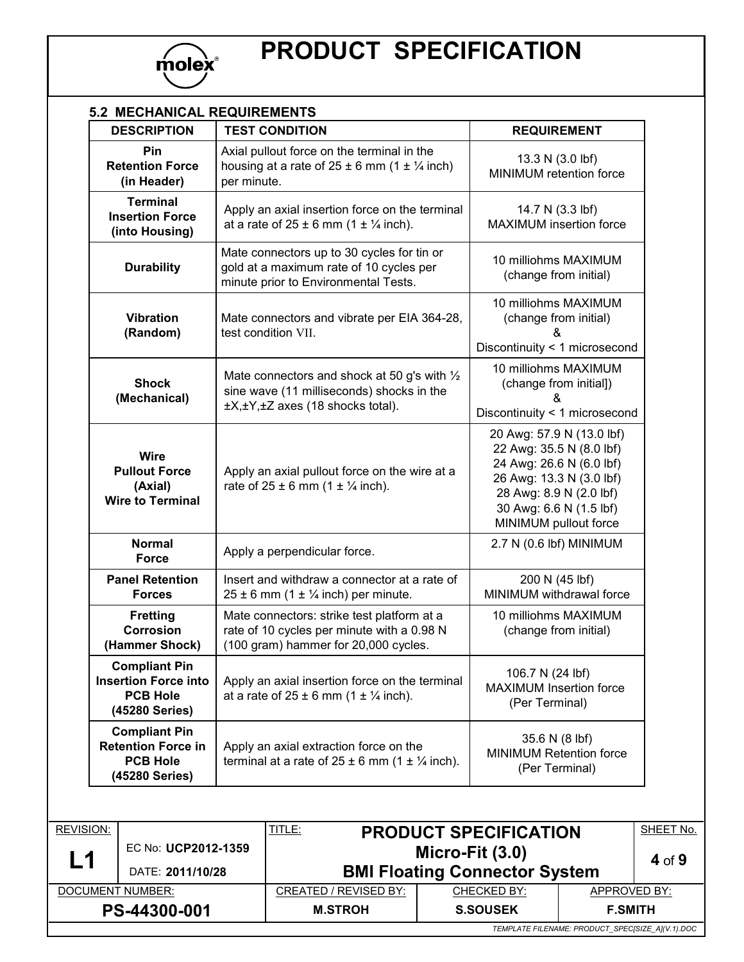

# **PRODUCT SPECIFICATION**

| <b>DESCRIPTION</b>                                                                       | <b>TEST CONDITION</b>                                                                                                                   | <b>REQUIREMENT</b>                                                                                                                                                                           |
|------------------------------------------------------------------------------------------|-----------------------------------------------------------------------------------------------------------------------------------------|----------------------------------------------------------------------------------------------------------------------------------------------------------------------------------------------|
| Pin<br><b>Retention Force</b><br>(in Header)                                             | Axial pullout force on the terminal in the<br>housing at a rate of $25 \pm 6$ mm (1 $\pm \frac{1}{4}$ inch)<br>per minute.              | 13.3 N (3.0 lbf)<br>MINIMUM retention force                                                                                                                                                  |
| <b>Terminal</b><br><b>Insertion Force</b><br>(into Housing)                              | Apply an axial insertion force on the terminal<br>at a rate of $25 \pm 6$ mm (1 $\pm \frac{1}{4}$ inch).                                | 14.7 N (3.3 lbf)<br><b>MAXIMUM</b> insertion force                                                                                                                                           |
| <b>Durability</b>                                                                        | Mate connectors up to 30 cycles for tin or<br>gold at a maximum rate of 10 cycles per<br>minute prior to Environmental Tests.           | 10 milliohms MAXIMUM<br>(change from initial)                                                                                                                                                |
| <b>Vibration</b><br>(Random)                                                             | Mate connectors and vibrate per EIA 364-28,<br>test condition VII.                                                                      | 10 milliohms MAXIMUM<br>(change from initial)<br>&<br>Discontinuity < 1 microsecond                                                                                                          |
| <b>Shock</b><br>(Mechanical)                                                             | Mate connectors and shock at 50 g's with $\frac{1}{2}$<br>sine wave (11 milliseconds) shocks in the<br>±X,±Y,±Z axes (18 shocks total). | 10 milliohms MAXIMUM<br>(change from initial])<br>Discontinuity < 1 microsecond                                                                                                              |
| <b>Wire</b><br><b>Pullout Force</b><br>(Axial)<br><b>Wire to Terminal</b>                | Apply an axial pullout force on the wire at a<br>rate of $25 \pm 6$ mm $(1 \pm \frac{1}{4}$ inch).                                      | 20 Awg: 57.9 N (13.0 lbf)<br>22 Awg: 35.5 N (8.0 lbf)<br>24 Awg: 26.6 N (6.0 lbf)<br>26 Awg: 13.3 N (3.0 lbf)<br>28 Awg: 8.9 N (2.0 lbf)<br>30 Awg: 6.6 N (1.5 lbf)<br>MINIMUM pullout force |
| <b>Normal</b><br><b>Force</b>                                                            | Apply a perpendicular force.                                                                                                            | 2.7 N (0.6 lbf) MINIMUM                                                                                                                                                                      |
| <b>Panel Retention</b><br><b>Forces</b>                                                  | Insert and withdraw a connector at a rate of<br>$25 \pm 6$ mm (1 $\pm$ 1/4 inch) per minute.                                            | 200 N (45 lbf)<br>MINIMUM withdrawal force                                                                                                                                                   |
| <b>Fretting</b><br>Corrosion<br>(Hammer Shock)                                           | Mate connectors: strike test platform at a<br>rate of 10 cycles per minute with a 0.98 N<br>(100 gram) hammer for 20,000 cycles.        | 10 milliohms MAXIMUM<br>(change from initial)                                                                                                                                                |
| <b>Compliant Pin</b><br><b>Insertion Force into</b><br><b>PCB Hole</b><br>(45280 Series) | Apply an axial insertion force on the terminal<br>at a rate of $25 \pm 6$ mm $(1 \pm \frac{1}{4}$ inch).                                | 106.7 N (24 lbf)<br><b>MAXIMUM Insertion force</b><br>(Per Terminal)                                                                                                                         |
| <b>Compliant Pin</b><br><b>Retention Force in</b><br><b>PCB Hole</b><br>(45280 Series)   | Apply an axial extraction force on the<br>terminal at a rate of $25 \pm 6$ mm (1 $\pm$ 1/4 inch).                                       | 35.6 N (8 lbf)<br><b>MINIMUM Retention force</b><br>(Per Terminal)                                                                                                                           |

| <b>REVISION:</b>                                 |                     | TITLE:                               | <b>PRODUCT SPECIFICATION</b> |                | SHEET No. |
|--------------------------------------------------|---------------------|--------------------------------------|------------------------------|----------------|-----------|
| L1                                               | EC No: UCP2012-1359 |                                      | Micro-Fit $(3.0)$            |                | 4 of $9$  |
|                                                  | DATE: 2011/10/28    | <b>BMI Floating Connector System</b> |                              |                |           |
| DOCUMENT NUMBER:                                 |                     | CREATED / REVISED BY:                | CHECKED BY:                  | APPROVED BY:   |           |
|                                                  | PS-44300-001        | <b>M.STROH</b>                       | <b>S.SOUSEK</b>              | <b>F.SMITH</b> |           |
| TEMPLATE FILENAME: PRODUCT SPECISIZE AI(V.1).DOC |                     |                                      |                              |                |           |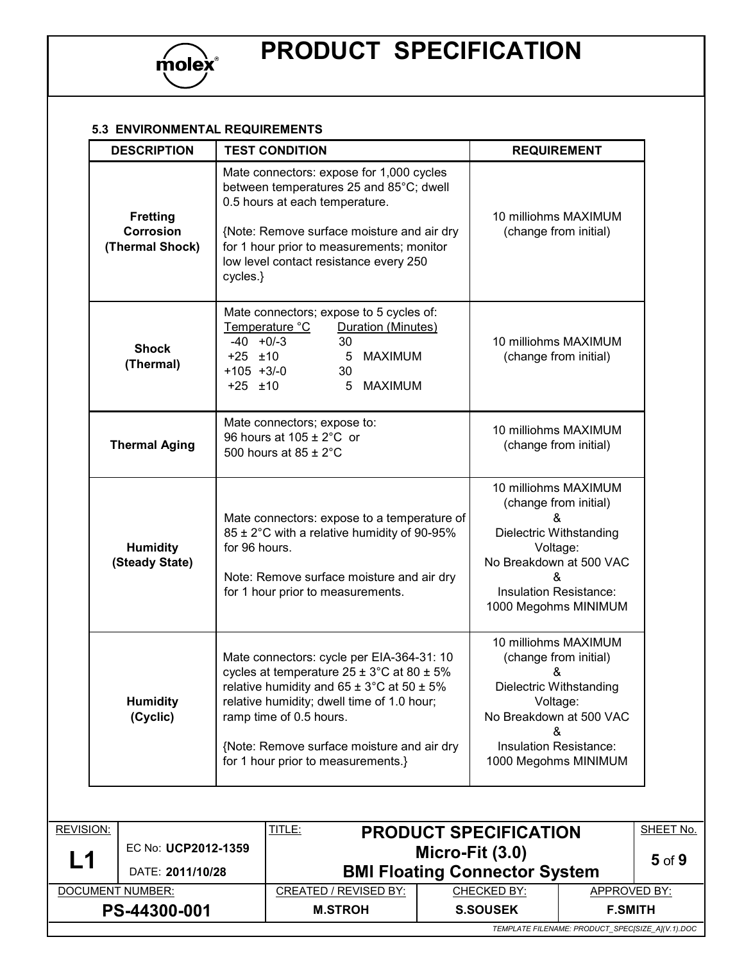

#### **5.3 ENVIRONMENTAL REQUIREMENTS**

| <b>DESCRIPTION</b>                              | <b>TEST CONDITION</b>                                                                                                                                                                                                                                                                                                              | <b>REQUIREMENT</b>                                                                                                                                                                 |
|-------------------------------------------------|------------------------------------------------------------------------------------------------------------------------------------------------------------------------------------------------------------------------------------------------------------------------------------------------------------------------------------|------------------------------------------------------------------------------------------------------------------------------------------------------------------------------------|
| <b>Fretting</b><br>Corrosion<br>(Thermal Shock) | Mate connectors: expose for 1,000 cycles<br>between temperatures 25 and 85°C; dwell<br>0.5 hours at each temperature.<br>{Note: Remove surface moisture and air dry<br>for 1 hour prior to measurements; monitor<br>low level contact resistance every 250<br>cycles.}                                                             | 10 milliohms MAXIMUM<br>(change from initial)                                                                                                                                      |
| <b>Shock</b><br>(Thermal)                       | Mate connectors; expose to 5 cycles of:<br>Temperature °C<br>Duration (Minutes)<br>$-40 + 0/-3$<br>30<br>$+25$ $\pm 10$<br>$5\phantom{.0}$<br><b>MAXIMUM</b><br>$+105 + 3/-0$<br>30<br>$+25$ $\pm 10$<br>5<br><b>MAXIMUM</b>                                                                                                       | 10 milliohms MAXIMUM<br>(change from initial)                                                                                                                                      |
| <b>Thermal Aging</b>                            | Mate connectors; expose to:<br>96 hours at 105 ± 2°C or<br>500 hours at $85 \pm 2^{\circ}$ C                                                                                                                                                                                                                                       | 10 milliohms MAXIMUM<br>(change from initial)                                                                                                                                      |
| <b>Humidity</b><br>(Steady State)               | Mate connectors: expose to a temperature of<br>85 ± 2°C with a relative humidity of 90-95%<br>for 96 hours.<br>Note: Remove surface moisture and air dry<br>for 1 hour prior to measurements.                                                                                                                                      | 10 milliohms MAXIMUM<br>(change from initial)<br>&<br>Dielectric Withstanding<br>Voltage:<br>No Breakdown at 500 VAC<br>&<br>Insulation Resistance:<br>1000 Megohms MINIMUM        |
| <b>Humidity</b><br>(Cyclic)                     | Mate connectors: cycle per EIA-364-31: 10<br>cycles at temperature $25 \pm 3^{\circ}$ C at 80 $\pm 5\%$<br>relative humidity and $65 \pm 3^{\circ}$ C at $50 \pm 5\%$<br>relative humidity; dwell time of 1.0 hour;<br>ramp time of 0.5 hours.<br>{Note: Remove surface moisture and air dry<br>for 1 hour prior to measurements.} | 10 milliohms MAXIMUM<br>(change from initial)<br>&<br>Dielectric Withstanding<br>Voltage:<br>No Breakdown at 500 VAC<br>&<br><b>Insulation Resistance:</b><br>1000 Megohms MINIMUM |

| <b>REVISION:</b>                                 |                     | <u>TITLE:</u>                        | <b>PRODUCT SPECIFICATION</b> |                | SHEET No.  |  |
|--------------------------------------------------|---------------------|--------------------------------------|------------------------------|----------------|------------|--|
| L1                                               | EC No: UCP2012-1359 |                                      | Micro-Fit $(3.0)$            |                | $5$ of $9$ |  |
|                                                  | DATE: 2011/10/28    | <b>BMI Floating Connector System</b> |                              |                |            |  |
| DOCUMENT NUMBER:                                 |                     | <b>CREATED / REVISED BY:</b>         | CHECKED BY:                  | APPROVED BY:   |            |  |
|                                                  | PS-44300-001        | <b>M.STROH</b>                       | <b>S.SOUSEK</b>              | <b>F.SMITH</b> |            |  |
| TEMPLATE FILENAME: PRODUCT_SPEC[SIZE_A](V.1).DOC |                     |                                      |                              |                |            |  |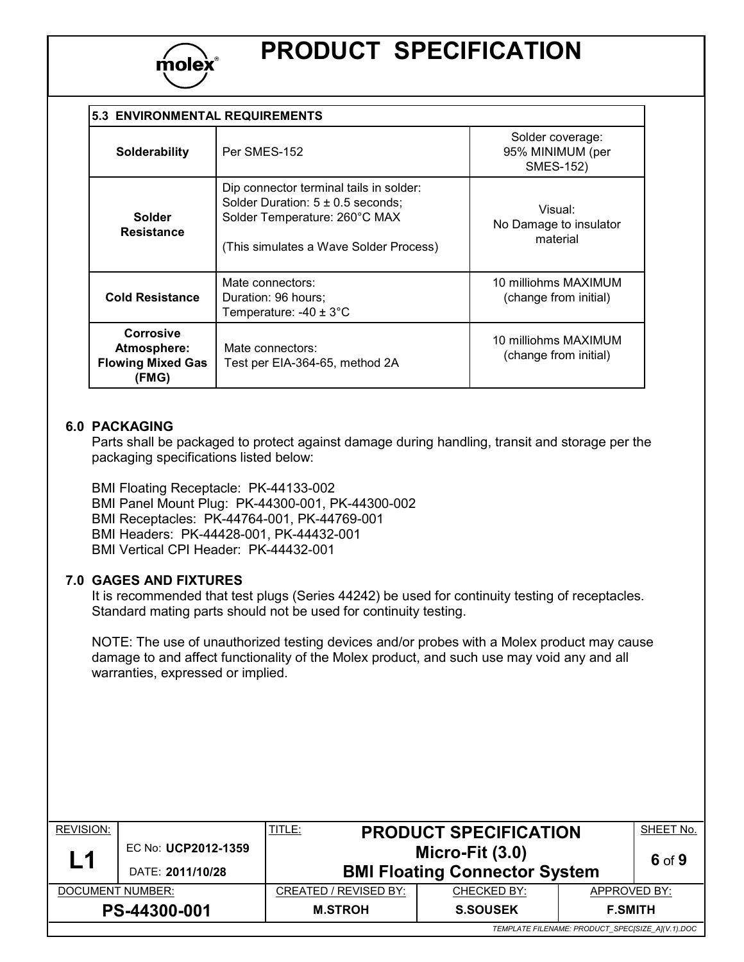

| <b>5.3 ENVIRONMENTAL REQUIREMENTS</b>                         |                                                                                                                                                             |                                                          |  |
|---------------------------------------------------------------|-------------------------------------------------------------------------------------------------------------------------------------------------------------|----------------------------------------------------------|--|
| <b>Solderability</b>                                          | Per SMES-152                                                                                                                                                | Solder coverage:<br>95% MINIMUM (per<br><b>SMES-152)</b> |  |
| <b>Solder</b><br><b>Resistance</b>                            | Dip connector terminal tails in solder:<br>Solder Duration: $5 \pm 0.5$ seconds;<br>Solder Temperature: 260°C MAX<br>(This simulates a Wave Solder Process) | Visual:<br>No Damage to insulator<br>material            |  |
| <b>Cold Resistance</b>                                        | Mate connectors:<br>Duration: 96 hours:<br>Temperature: $-40 \pm 3^{\circ}$ C                                                                               | 10 milliohms MAXIMUM<br>(change from initial)            |  |
| Corrosive<br>Atmosphere:<br><b>Flowing Mixed Gas</b><br>(FMG) | Mate connectors:<br>Test per EIA-364-65, method 2A                                                                                                          | 10 milliohms MAXIMUM<br>(change from initial)            |  |

#### **6.0 PACKAGING**

Parts shall be packaged to protect against damage during handling, transit and storage per the packaging specifications listed below:

BMI Floating Receptacle: PK-44133-002 BMI Panel Mount Plug: PK-44300-001, PK-44300-002 BMI Receptacles: PK-44764-001, PK-44769-001 BMI Headers: PK-44428-001, PK-44432-001 BMI Vertical CPI Header: PK-44432-001

#### **7.0 GAGES AND FIXTURES**

It is recommended that test plugs (Series 44242) be used for continuity testing of receptacles. Standard mating parts should not be used for continuity testing.

NOTE: The use of unauthorized testing devices and/or probes with a Molex product may cause damage to and affect functionality of the Molex product, and such use may void any and all warranties, expressed or implied.

| <b>REVISION:</b>                                 |                                         | <u>TITLE:</u>                                             | <b>PRODUCT SPECIFICATION</b> |                | SHEET No. |
|--------------------------------------------------|-----------------------------------------|-----------------------------------------------------------|------------------------------|----------------|-----------|
| L1                                               | EC No: UCP2012-1359<br>DATE: 2011/10/28 | Micro-Fit $(3.0)$<br><b>BMI Floating Connector System</b> |                              | 6 of 9         |           |
| DOCUMENT NUMBER:                                 |                                         | <b>CREATED / REVISED BY:</b><br>CHECKED BY:               |                              | APPROVED BY:   |           |
| PS-44300-001                                     |                                         | <b>M.STROH</b>                                            | <b>S.SOUSEK</b>              | <b>F.SMITH</b> |           |
| TEMPLATE FILENAME: PRODUCT_SPEC[SIZE_A](V.1).DOC |                                         |                                                           |                              |                |           |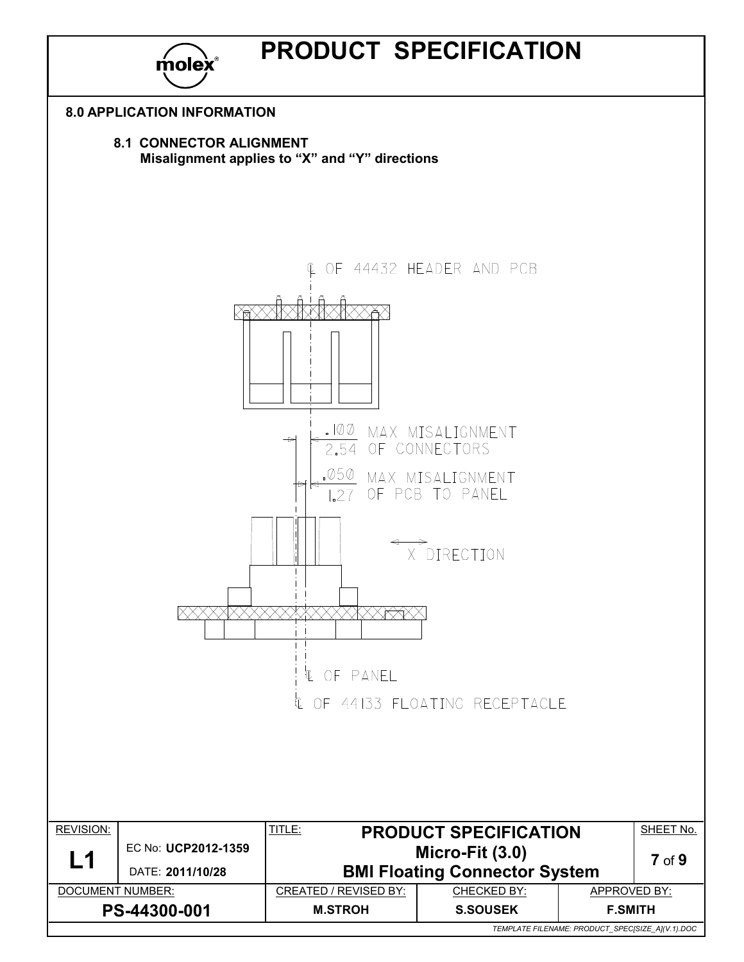

*TEMPLATE FILENAME: PRODUCT\_SPEC[SIZE\_A](V.1).DOC*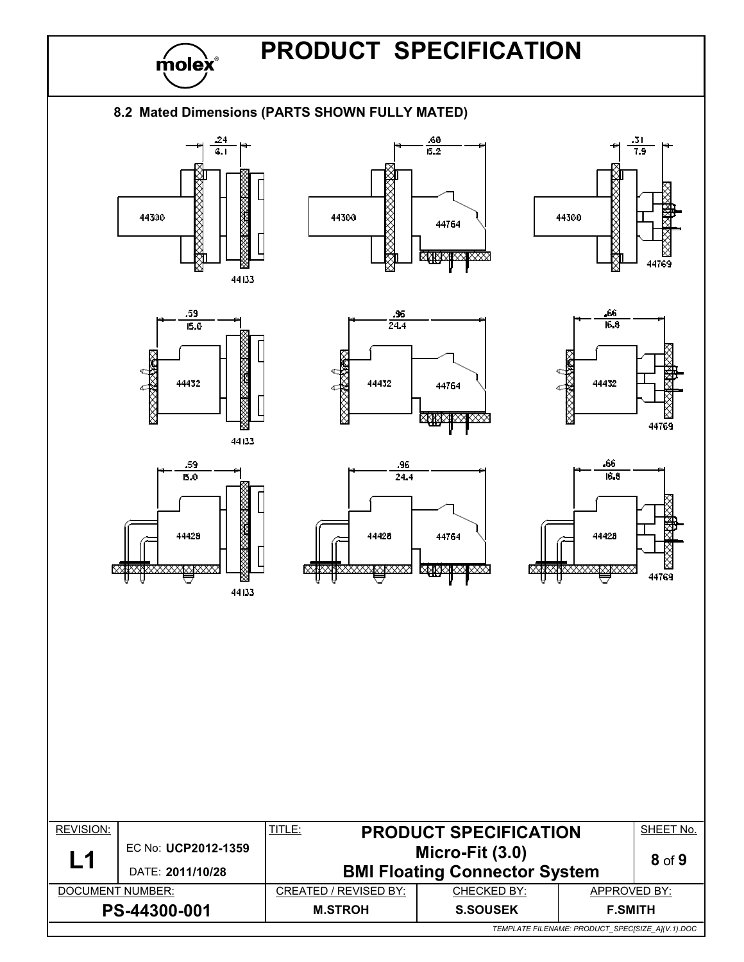

*TEMPLATE FILENAME: PRODUCT\_SPEC[SIZE\_A](V.1).DOC*